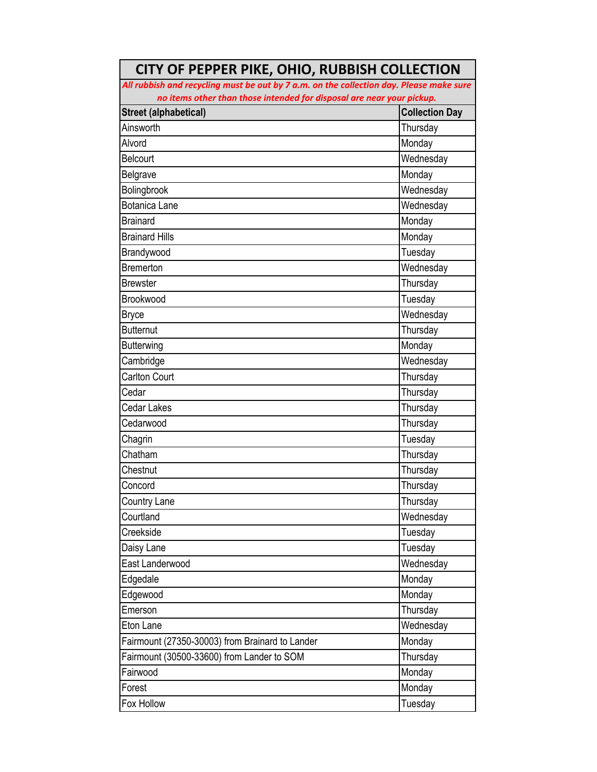| All rubbish and recycling must be out by 7 a.m. on the collection day. Please make sure |                       |  |
|-----------------------------------------------------------------------------------------|-----------------------|--|
| no items other than those intended for disposal are near your pickup.                   |                       |  |
| <b>Street (alphabetical)</b>                                                            | <b>Collection Day</b> |  |
| Ainsworth                                                                               | Thursday              |  |
| Alvord                                                                                  | Monday                |  |
| Belcourt                                                                                | Wednesday             |  |
| Belgrave                                                                                | Monday                |  |
| Bolingbrook                                                                             | Wednesday             |  |
| <b>Botanica Lane</b>                                                                    | Wednesday             |  |
| <b>Brainard</b>                                                                         | Monday                |  |
| <b>Brainard Hills</b>                                                                   | Monday                |  |
| Brandywood                                                                              | Tuesday               |  |
| <b>Bremerton</b>                                                                        | Wednesday             |  |
| <b>Brewster</b>                                                                         | Thursday              |  |
| Brookwood                                                                               | Tuesday               |  |
| <b>Bryce</b>                                                                            | Wednesday             |  |
| <b>Butternut</b>                                                                        | Thursday              |  |
| <b>Butterwing</b>                                                                       | Monday                |  |
| Cambridge                                                                               | Wednesday             |  |
| <b>Carlton Court</b>                                                                    | Thursday              |  |
| Cedar                                                                                   | Thursday              |  |
| <b>Cedar Lakes</b>                                                                      | Thursday              |  |
| Cedarwood                                                                               | Thursday              |  |
| Chagrin                                                                                 | Tuesday               |  |
| Chatham                                                                                 | Thursday              |  |
| Chestnut                                                                                | Thursday              |  |
| Concord                                                                                 | Thursday              |  |
| Country Lane                                                                            | Thursday              |  |
| Courtland                                                                               | Wednesday             |  |
| Creekside                                                                               | Tuesday               |  |
| Daisy Lane                                                                              | Tuesday               |  |
| East Landerwood                                                                         | Wednesday             |  |
| Edgedale                                                                                | Monday                |  |
| Edgewood                                                                                | Monday                |  |
| Emerson                                                                                 | Thursday              |  |
| Eton Lane                                                                               | Wednesday             |  |
| Fairmount (27350-30003) from Brainard to Lander                                         | Monday                |  |
| Fairmount (30500-33600) from Lander to SOM                                              | Thursday              |  |
| Fairwood                                                                                | Monday                |  |
| Forest                                                                                  | Monday                |  |
| Fox Hollow                                                                              | Tuesday               |  |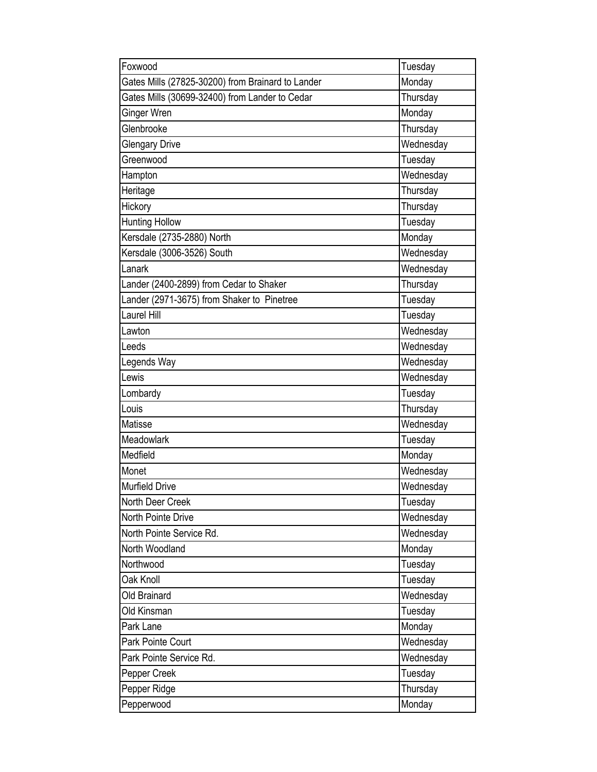| Foxwood                                           | Tuesday   |
|---------------------------------------------------|-----------|
| Gates Mills (27825-30200) from Brainard to Lander | Monday    |
| Gates Mills (30699-32400) from Lander to Cedar    | Thursday  |
| Ginger Wren                                       | Monday    |
| Glenbrooke                                        | Thursday  |
| <b>Glengary Drive</b>                             | Wednesday |
| Greenwood                                         | Tuesday   |
| Hampton                                           | Wednesday |
| Heritage                                          | Thursday  |
| Hickory                                           | Thursday  |
| <b>Hunting Hollow</b>                             | Tuesday   |
| Kersdale (2735-2880) North                        | Monday    |
| Kersdale (3006-3526) South                        | Wednesday |
| Lanark                                            | Wednesday |
| Lander (2400-2899) from Cedar to Shaker           | Thursday  |
| Lander (2971-3675) from Shaker to Pinetree        | Tuesday   |
| Laurel Hill                                       | Tuesday   |
| Lawton                                            | Wednesday |
| Leeds                                             | Wednesday |
| Legends Way                                       | Wednesday |
| Lewis                                             | Wednesday |
| Lombardy                                          | Tuesday   |
| Louis                                             | Thursday  |
| Matisse                                           | Wednesday |
| Meadowlark                                        | Tuesday   |
| Medfield                                          | Monday    |
| Monet                                             | Wednesday |
| <b>Murfield Drive</b>                             | Wednesday |
| North Deer Creek                                  | Tuesday   |
| North Pointe Drive                                | Wednesday |
| North Pointe Service Rd.                          | Wednesday |
| North Woodland                                    | Monday    |
| Northwood                                         | Tuesday   |
| Oak Knoll                                         | Tuesday   |
| Old Brainard                                      | Wednesday |
| Old Kinsman                                       | Tuesday   |
| Park Lane                                         | Monday    |
| Park Pointe Court                                 | Wednesday |
| Park Pointe Service Rd.                           | Wednesday |
| Pepper Creek                                      | Tuesday   |
| Pepper Ridge                                      | Thursday  |
| Pepperwood                                        | Monday    |